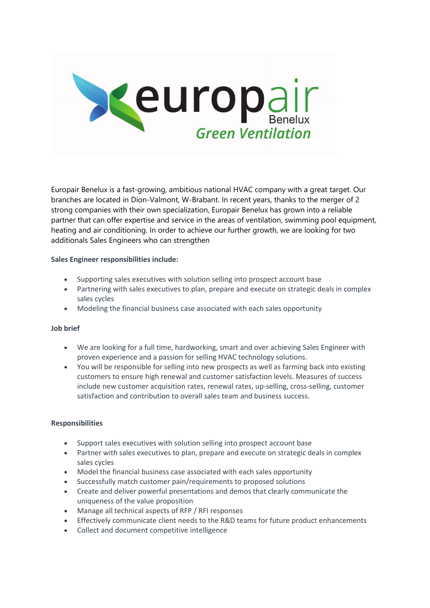

Europair Benelux is a fast-growing, ambitious national HVAC company with a great target. Our branches are located in Dion-Valmont, W-Brabant. In recent years, thanks to the merger of 2 strong companies with their own specialization, Europair Benelux has grown into a reliable partner that can offer expertise and service in the areas of ventilation, swimming pool equipment, heating and air conditioning. In order to achieve our further growth, we are looking for two additionals Sales Engineers who can strengthen

## **Sales Engineer responsibilities include:**

- Supporting sales executives with solution selling into prospect account base
- Partnering with sales executives to plan, prepare and execute on strategic deals in complex sales cycles
- Modeling the financial business case associated with each sales opportunity

#### **Job brief**

- We are looking for a full time, hardworking, smart and over achieving Sales Engineer with proven experience and a passion for selling HVAC technology solutions.
- You will be responsible for selling into new prospects as well as farming back into existing customers to ensure high renewal and customer satisfaction levels. Measures of success include new customer acquisition rates, renewal rates, up-selling, cross-selling, customer satisfaction and contribution to overall sales team and business success.

#### **Responsibilities**

- Support sales executives with solution selling into prospect account base
- Partner with sales executives to plan, prepare and execute on strategic deals in complex sales cycles
- Model the financial business case associated with each sales opportunity
- Successfully match customer pain/requirements to proposed solutions
- Create and deliver powerful presentations and demos that clearly communicate the uniqueness of the value proposition
- Manage all technical aspects of RFP / RFI responses
- Effectively communicate client needs to the R&D teams for future product enhancements
- Collect and document competitive intelligence